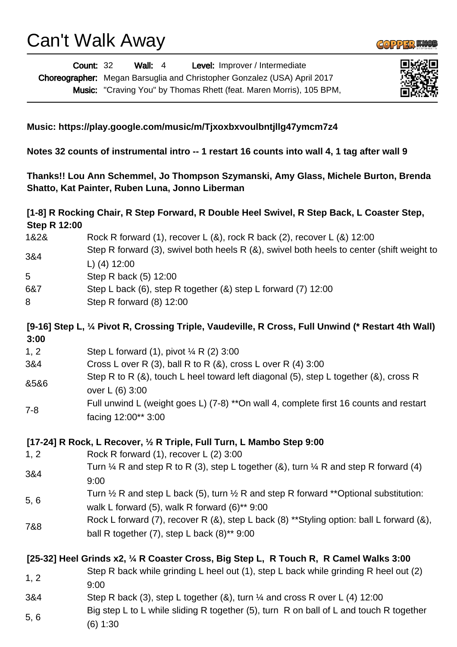Can't Walk Away





**COPPERM** 

## **Music: https://play.google.com/music/m/Tjxoxbxvoulbntjllg47ymcm7z4**

**Notes 32 counts of instrumental intro -- 1 restart 16 counts into wall 4, 1 tag after wall 9**

**Thanks!! Lou Ann Schemmel, Jo Thompson Szymanski, Amy Glass, Michele Burton, Brenda Shatto, Kat Painter, Ruben Luna, Jonno Liberman**

| [1-8] R Rocking Chair, R Step Forward, R Double Heel Swivel, R Step Back, L Coaster Step,<br><b>Step R 12:00</b> |                                                                                                                                                                |
|------------------------------------------------------------------------------------------------------------------|----------------------------------------------------------------------------------------------------------------------------------------------------------------|
| 1&2&                                                                                                             | Rock R forward (1), recover L $(8)$ , rock R back $(2)$ , recover L $(8)$ 12:00                                                                                |
| 3&4                                                                                                              | Step R forward (3), swivel both heels R (&), swivel both heels to center (shift weight to<br>L) $(4)$ 12:00                                                    |
| 5                                                                                                                | Step R back (5) 12:00                                                                                                                                          |
| 6&7                                                                                                              | Step L back (6), step R together (&) step L forward (7) 12:00                                                                                                  |
| 8                                                                                                                | Step R forward (8) 12:00                                                                                                                                       |
| 3:00                                                                                                             | [9-16] Step L, 1/4 Pivot R, Crossing Triple, Vaudeville, R Cross, Full Unwind (* Restart 4th Wall)                                                             |
| 1, 2                                                                                                             | Step L forward (1), pivot $\frac{1}{4}$ R (2) 3:00                                                                                                             |
| 3&4                                                                                                              | Cross L over R (3), ball R to R ( $\&$ ), cross L over R (4) 3:00                                                                                              |
| 8586                                                                                                             | Step R to R (&), touch L heel toward left diagonal (5), step L together (&), cross R<br>over L (6) 3:00                                                        |
| $7 - 8$                                                                                                          | Full unwind L (weight goes L) (7-8) **On wall 4, complete first 16 counts and restart<br>facing 12:00** 3:00                                                   |
|                                                                                                                  | [17-24] R Rock, L Recover, 1/2 R Triple, Full Turn, L Mambo Step 9:00                                                                                          |
| 1, 2                                                                                                             | Rock R forward (1), recover L (2) 3:00                                                                                                                         |
| 3&4                                                                                                              | Turn $\frac{1}{4}$ R and step R to R (3), step L together (&), turn $\frac{1}{4}$ R and step R forward (4)<br>9:00                                             |
| 5, 6                                                                                                             | Turn $\frac{1}{2}$ R and step L back (5), turn $\frac{1}{2}$ R and step R forward **Optional substitution:<br>walk L forward (5), walk R forward $(6)$ ** 9:00 |
| 7&8                                                                                                              | Rock L forward (7), recover R (&), step L back (8) **Styling option: ball L forward (&),<br>ball R together $(7)$ , step L back $(8)$ ** 9:00                  |
|                                                                                                                  | [25-32] Heel Grinds x2, 1/4 R Coaster Cross, Big Step L, R Touch R, R Camel Walks 3:00                                                                         |
| 1, 2                                                                                                             | Step R back while grinding L heel out (1), step L back while grinding R heel out (2)<br>9:00                                                                   |
| 3&4                                                                                                              | Step R back (3), step L together (&), turn $\frac{1}{4}$ and cross R over L (4) 12:00                                                                          |
| 5, 6                                                                                                             | Big step L to L while sliding R together (5), turn R on ball of L and touch R together<br>(6) 1:30                                                             |